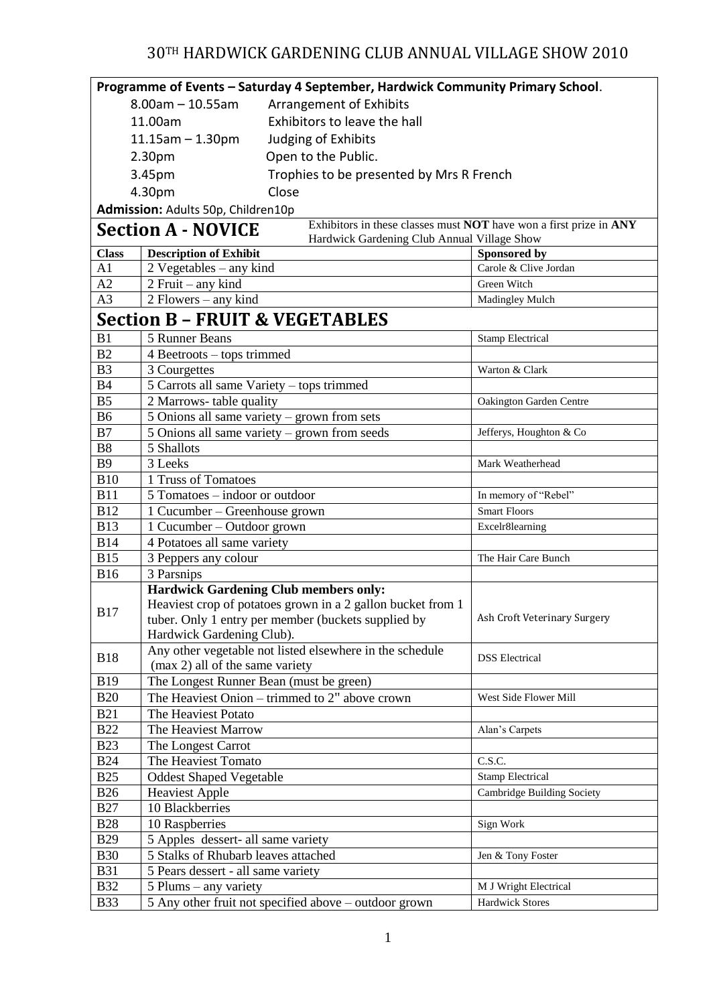## 30TH HARDWICK GARDENING CLUB ANNUAL VILLAGE SHOW 2010

| Programme of Events - Saturday 4 September, Hardwick Community Primary School. |                                                                                                                                                                                                 |                                                                    |  |
|--------------------------------------------------------------------------------|-------------------------------------------------------------------------------------------------------------------------------------------------------------------------------------------------|--------------------------------------------------------------------|--|
|                                                                                | $8.00$ am $- 10.55$ am<br>Arrangement of Exhibits                                                                                                                                               |                                                                    |  |
| Exhibitors to leave the hall<br>11.00am                                        |                                                                                                                                                                                                 |                                                                    |  |
|                                                                                | Judging of Exhibits<br>$11.15$ am $- 1.30$ pm                                                                                                                                                   |                                                                    |  |
|                                                                                | Open to the Public.<br>2.30pm                                                                                                                                                                   |                                                                    |  |
|                                                                                |                                                                                                                                                                                                 |                                                                    |  |
|                                                                                | Trophies to be presented by Mrs R French<br>3.45pm                                                                                                                                              |                                                                    |  |
|                                                                                | Close<br>4.30pm                                                                                                                                                                                 |                                                                    |  |
|                                                                                | Admission: Adults 50p, Children10p                                                                                                                                                              |                                                                    |  |
|                                                                                | <b>Section A - NOVICE</b><br>Hardwick Gardening Club Annual Village Show                                                                                                                        | Exhibitors in these classes must NOT have won a first prize in ANY |  |
| <b>Class</b>                                                                   | <b>Description of Exhibit</b>                                                                                                                                                                   | Sponsored by                                                       |  |
| A1                                                                             | 2 Vegetables – any kind                                                                                                                                                                         | Carole & Clive Jordan                                              |  |
| A2                                                                             | $2$ Fruit – any kind                                                                                                                                                                            | Green Witch                                                        |  |
| A <sub>3</sub>                                                                 | 2 Flowers – any kind                                                                                                                                                                            | Madingley Mulch                                                    |  |
|                                                                                | <b>Section B - FRUIT &amp; VEGETABLES</b>                                                                                                                                                       |                                                                    |  |
| B1                                                                             | 5 Runner Beans                                                                                                                                                                                  | <b>Stamp Electrical</b>                                            |  |
| B2                                                                             | 4 Beetroots – tops trimmed                                                                                                                                                                      |                                                                    |  |
| B <sub>3</sub>                                                                 | 3 Courgettes                                                                                                                                                                                    | Warton & Clark                                                     |  |
| <b>B4</b>                                                                      | 5 Carrots all same Variety - tops trimmed                                                                                                                                                       |                                                                    |  |
| B <sub>5</sub>                                                                 | 2 Marrows-table quality                                                                                                                                                                         | Oakington Garden Centre                                            |  |
| <b>B6</b>                                                                      | 5 Onions all same variety - grown from sets                                                                                                                                                     |                                                                    |  |
| B7                                                                             | 5 Onions all same variety – grown from seeds<br>Jefferys, Houghton & Co                                                                                                                         |                                                                    |  |
| <b>B8</b>                                                                      | 5 Shallots                                                                                                                                                                                      |                                                                    |  |
| <b>B</b> 9                                                                     | 3 Leeks                                                                                                                                                                                         | Mark Weatherhead                                                   |  |
| <b>B10</b>                                                                     | 1 Truss of Tomatoes                                                                                                                                                                             |                                                                    |  |
| <b>B11</b>                                                                     | 5 Tomatoes - indoor or outdoor                                                                                                                                                                  | In memory of "Rebel"                                               |  |
| <b>B12</b>                                                                     | 1 Cucumber – Greenhouse grown                                                                                                                                                                   | <b>Smart Floors</b>                                                |  |
| <b>B13</b>                                                                     | 1 Cucumber – Outdoor grown<br>Excelr8learning                                                                                                                                                   |                                                                    |  |
| <b>B14</b>                                                                     | 4 Potatoes all same variety                                                                                                                                                                     |                                                                    |  |
| <b>B15</b>                                                                     | 3 Peppers any colour<br>The Hair Care Bunch                                                                                                                                                     |                                                                    |  |
| <b>B16</b>                                                                     | 3 Parsnips                                                                                                                                                                                      |                                                                    |  |
| <b>B17</b>                                                                     | <b>Hardwick Gardening Club members only:</b><br>Heaviest crop of potatoes grown in a 2 gallon bucket from 1<br>tuber. Only 1 entry per member (buckets supplied by<br>Hardwick Gardening Club). | Ash Croft Veterinary Surgery                                       |  |
| <b>B18</b>                                                                     | Any other vegetable not listed elsewhere in the schedule<br>(max 2) all of the same variety                                                                                                     | <b>DSS</b> Electrical                                              |  |
| <b>B19</b>                                                                     | The Longest Runner Bean (must be green)                                                                                                                                                         |                                                                    |  |
| <b>B20</b>                                                                     | The Heaviest Onion – trimmed to 2" above crown<br>West Side Flower Mill                                                                                                                         |                                                                    |  |
| <b>B21</b>                                                                     | The Heaviest Potato                                                                                                                                                                             |                                                                    |  |
| <b>B22</b>                                                                     | The Heaviest Marrow<br>Alan's Carpets                                                                                                                                                           |                                                                    |  |
| <b>B23</b>                                                                     | The Longest Carrot                                                                                                                                                                              |                                                                    |  |
| <b>B24</b>                                                                     | The Heaviest Tomato<br>C.S.C.                                                                                                                                                                   |                                                                    |  |
| <b>B25</b>                                                                     | <b>Oddest Shaped Vegetable</b><br><b>Stamp Electrical</b>                                                                                                                                       |                                                                    |  |
| <b>B26</b>                                                                     | <b>Heaviest Apple</b>                                                                                                                                                                           | Cambridge Building Society                                         |  |
| <b>B27</b>                                                                     | 10 Blackberries                                                                                                                                                                                 |                                                                    |  |
| <b>B28</b>                                                                     | 10 Raspberries                                                                                                                                                                                  | Sign Work                                                          |  |
| <b>B29</b>                                                                     | 5 Apples dessert- all same variety                                                                                                                                                              |                                                                    |  |
| <b>B30</b>                                                                     | 5 Stalks of Rhubarb leaves attached                                                                                                                                                             | Jen & Tony Foster                                                  |  |
| <b>B31</b>                                                                     | 5 Pears dessert - all same variety                                                                                                                                                              |                                                                    |  |
| <b>B32</b>                                                                     | $5$ Plums – any variety                                                                                                                                                                         | M J Wright Electrical                                              |  |
| <b>B33</b>                                                                     | 5 Any other fruit not specified above - outdoor grown                                                                                                                                           | <b>Hardwick Stores</b>                                             |  |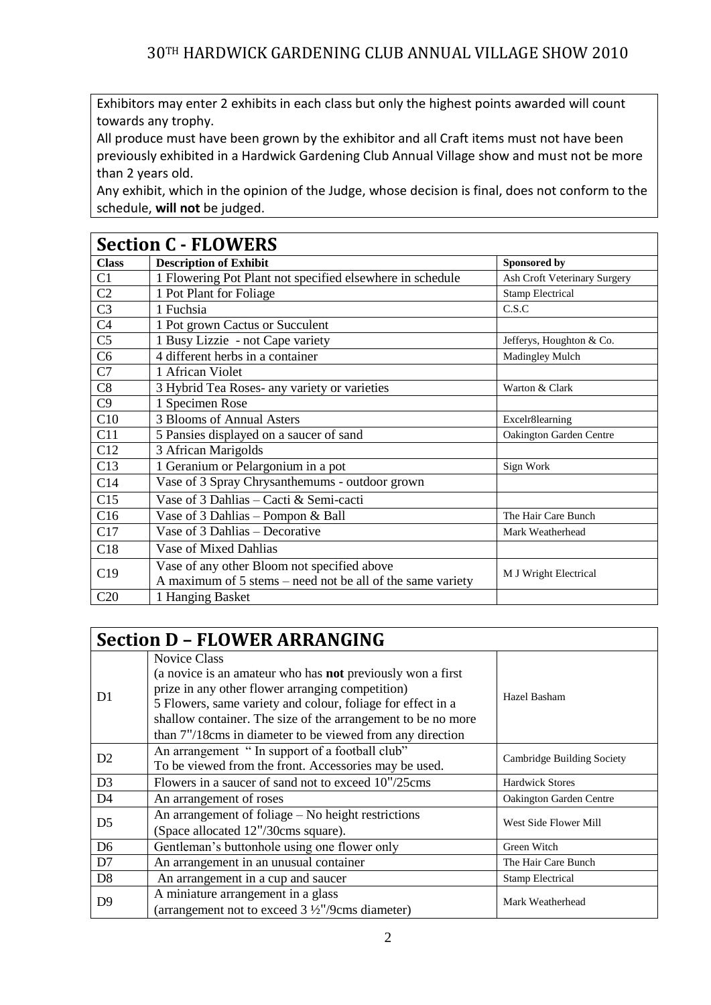Exhibitors may enter 2 exhibits in each class but only the highest points awarded will count towards any trophy.

All produce must have been grown by the exhibitor and all Craft items must not have been previously exhibited in a Hardwick Gardening Club Annual Village show and must not be more than 2 years old.

Any exhibit, which in the opinion of the Judge, whose decision is final, does not conform to the schedule, **will not** be judged.

| <b>Section C - FLOWERS</b> |                                                            |                              |  |
|----------------------------|------------------------------------------------------------|------------------------------|--|
| <b>Class</b>               | <b>Description of Exhibit</b>                              | Sponsored by                 |  |
| C1                         | 1 Flowering Pot Plant not specified elsewhere in schedule  | Ash Croft Veterinary Surgery |  |
| C <sub>2</sub>             | 1 Pot Plant for Foliage                                    | <b>Stamp Electrical</b>      |  |
| C <sub>3</sub>             | 1 Fuchsia                                                  | C.S.C                        |  |
| C <sub>4</sub>             | 1 Pot grown Cactus or Succulent                            |                              |  |
| C <sub>5</sub>             | 1 Busy Lizzie - not Cape variety                           | Jefferys, Houghton & Co.     |  |
| C6                         | 4 different herbs in a container                           | Madingley Mulch              |  |
| C7                         | 1 African Violet                                           |                              |  |
| C8                         | 3 Hybrid Tea Roses- any variety or varieties               | Warton & Clark               |  |
| C9                         | 1 Specimen Rose                                            |                              |  |
| C10                        | 3 Blooms of Annual Asters                                  | Excelr8learning              |  |
| C11                        | 5 Pansies displayed on a saucer of sand                    | Oakington Garden Centre      |  |
| C12                        | 3 African Marigolds                                        |                              |  |
| C13                        | 1 Geranium or Pelargonium in a pot                         | Sign Work                    |  |
| C14                        | Vase of 3 Spray Chrysanthemums - outdoor grown             |                              |  |
| C15                        | Vase of 3 Dahlias – Cacti & Semi-cacti                     |                              |  |
| C16                        | Vase of 3 Dahlias - Pompon & Ball                          | The Hair Care Bunch          |  |
| C17                        | Vase of 3 Dahlias - Decorative                             | Mark Weatherhead             |  |
| C18                        | Vase of Mixed Dahlias                                      |                              |  |
| C19                        | Vase of any other Bloom not specified above                |                              |  |
|                            | A maximum of 5 stems – need not be all of the same variety | M J Wright Electrical        |  |
| C20                        | 1 Hanging Basket                                           |                              |  |

| <b>Section D - FLOWER ARRANGING</b> |                                                                                                                                                                                                                                                                                                                                          |                                |  |
|-------------------------------------|------------------------------------------------------------------------------------------------------------------------------------------------------------------------------------------------------------------------------------------------------------------------------------------------------------------------------------------|--------------------------------|--|
| D <sub>1</sub>                      | <b>Novice Class</b><br>(a novice is an amateur who has <b>not</b> previously won a first<br>prize in any other flower arranging competition)<br>5 Flowers, same variety and colour, foliage for effect in a<br>shallow container. The size of the arrangement to be no more<br>than 7"/18cms in diameter to be viewed from any direction | Hazel Basham                   |  |
| D <sub>2</sub>                      | An arrangement "In support of a football club"<br>Cambridge Building Society<br>To be viewed from the front. Accessories may be used.                                                                                                                                                                                                    |                                |  |
| D <sub>3</sub>                      | Flowers in a saucer of sand not to exceed 10"/25cms                                                                                                                                                                                                                                                                                      | <b>Hardwick Stores</b>         |  |
| D <sub>4</sub>                      | An arrangement of roses                                                                                                                                                                                                                                                                                                                  | <b>Oakington Garden Centre</b> |  |
| D <sub>5</sub>                      | An arrangement of foliage – No height restrictions<br>(Space allocated 12"/30cms square).                                                                                                                                                                                                                                                | West Side Flower Mill          |  |
| D <sub>6</sub>                      | Gentleman's buttonhole using one flower only                                                                                                                                                                                                                                                                                             | Green Witch                    |  |
| D7                                  | An arrangement in an unusual container                                                                                                                                                                                                                                                                                                   | The Hair Care Bunch            |  |
| D <sub>8</sub>                      | An arrangement in a cup and saucer                                                                                                                                                                                                                                                                                                       | <b>Stamp Electrical</b>        |  |
| D <sup>9</sup>                      | A miniature arrangement in a glass<br>(arrangement not to exceed $3\frac{1}{2}$ "/9cms diameter)                                                                                                                                                                                                                                         | Mark Weatherhead               |  |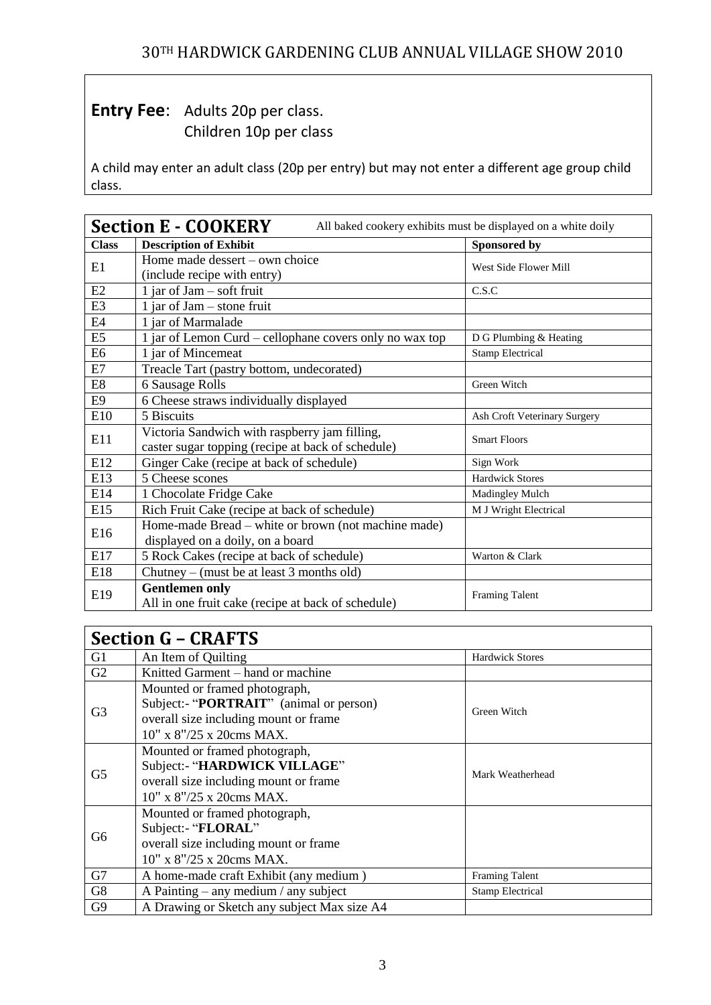## **Entry Fee:** Adults 20p per class. Children 10p per class

A child may enter an adult class (20p per entry) but may not enter a different age group child class.

| <b>Section E - COOKERY</b><br>All baked cookery exhibits must be displayed on a white doily |                                                                                   |                              |  |
|---------------------------------------------------------------------------------------------|-----------------------------------------------------------------------------------|------------------------------|--|
| <b>Class</b>                                                                                | <b>Description of Exhibit</b>                                                     | Sponsored by                 |  |
| E1                                                                                          | Home made dessert - own choice                                                    | West Side Flower Mill        |  |
|                                                                                             | (include recipe with entry)                                                       |                              |  |
| E2                                                                                          | $1$ jar of Jam – soft fruit                                                       | C.S.C                        |  |
| E <sub>3</sub>                                                                              | 1 jar of Jam $-$ stone fruit                                                      |                              |  |
| E4                                                                                          | 1 jar of Marmalade                                                                |                              |  |
| E <sub>5</sub>                                                                              | 1 jar of Lemon Curd - cellophane covers only no wax top<br>D G Plumbing & Heating |                              |  |
| E <sub>6</sub>                                                                              | 1 jar of Mincemeat<br><b>Stamp Electrical</b>                                     |                              |  |
| E7                                                                                          | Treacle Tart (pastry bottom, undecorated)                                         |                              |  |
| E8                                                                                          | 6 Sausage Rolls                                                                   | Green Witch                  |  |
| E9                                                                                          | 6 Cheese straws individually displayed                                            |                              |  |
| E10                                                                                         | 5 Biscuits                                                                        | Ash Croft Veterinary Surgery |  |
| E11                                                                                         | Victoria Sandwich with raspberry jam filling,                                     | <b>Smart Floors</b>          |  |
|                                                                                             | caster sugar topping (recipe at back of schedule)                                 |                              |  |
| E12                                                                                         | Ginger Cake (recipe at back of schedule)                                          | Sign Work                    |  |
| E13                                                                                         | 5 Cheese scones                                                                   | <b>Hardwick Stores</b>       |  |
| E14                                                                                         | 1 Chocolate Fridge Cake                                                           | Madingley Mulch              |  |
| E15                                                                                         | Rich Fruit Cake (recipe at back of schedule)                                      | M J Wright Electrical        |  |
| E16                                                                                         | Home-made Bread – white or brown (not machine made)                               |                              |  |
|                                                                                             | displayed on a doily, on a board                                                  |                              |  |
| E17                                                                                         | 5 Rock Cakes (recipe at back of schedule)                                         | Warton & Clark               |  |
| E18                                                                                         | Chutney – (must be at least 3 months old)                                         |                              |  |
| E19                                                                                         | <b>Gentlemen only</b>                                                             | <b>Framing Talent</b>        |  |
|                                                                                             | All in one fruit cake (recipe at back of schedule)                                |                              |  |

| <b>Section G - CRAFTS</b> |                                             |                         |  |
|---------------------------|---------------------------------------------|-------------------------|--|
| G <sub>1</sub>            | An Item of Quilting                         | <b>Hardwick Stores</b>  |  |
| G2                        | Knitted Garment - hand or machine           |                         |  |
|                           | Mounted or framed photograph,               | Green Witch             |  |
| G <sub>3</sub>            | Subject:- "PORTRAIT" (animal or person)     |                         |  |
|                           | overall size including mount or frame       |                         |  |
|                           | $10''$ x $8''/25$ x 20cms MAX.              |                         |  |
|                           | Mounted or framed photograph,               | Mark Weatherhead        |  |
|                           | Subject:- "HARDWICK VILLAGE"                |                         |  |
| G <sub>5</sub>            | overall size including mount or frame       |                         |  |
|                           | 10" x 8"/25 x 20cms MAX.                    |                         |  |
|                           | Mounted or framed photograph,               |                         |  |
|                           | Subject:- "FLORAL"                          |                         |  |
| G6                        | overall size including mount or frame       |                         |  |
|                           | $10''$ x $8''/25$ x 20cms MAX.              |                         |  |
| G7                        | A home-made craft Exhibit (any medium)      | <b>Framing Talent</b>   |  |
| G8                        | A Painting $-$ any medium / any subject     | <b>Stamp Electrical</b> |  |
| G <sub>9</sub>            | A Drawing or Sketch any subject Max size A4 |                         |  |